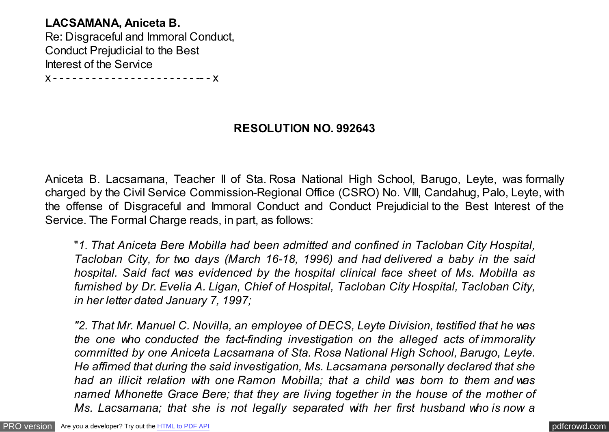# **LACSAMANA, Aniceta B.** Re: Disgraceful and Immoral Conduct, Conduct Prejudicial to the Best Interest of the Service

x - - - - - - - - - - - - - - - - - - - - - - -- - x

## **RESOLUTION NO. 992643**

Aniceta B. Lacsamana, Teacher II of Sta. Rosa National High School, Barugo, Leyte, was formally charged by the Civil Service Commission-Regional Office (CSRO) No. VIII, Candahug, Palo, Leyte, with the offense of Disgraceful and Immoral Conduct and Conduct Prejudicial to the Best Interest of the Service. The Formal Charge reads, in part, as follows:

"*1. That Aniceta Bere Mobilla had been admitted and confined in Tacloban City Hospital, Tacloban City, for two days (March 16-18, 1996) and had delivered a baby in the said hospital. Said fact was evidenced by the hospital clinical face sheet of Ms. Mobilla as furnished by Dr. Evelia A. Ligan, Chief of Hospital, Tacloban City Hospital, Tacloban City, in her letter dated January 7, 1997;*

*"2. That Mr. Manuel C. Novilla, an employee of DECS, Leyte Division, testified that he was the one who conducted the fact-finding investigation on the alleged acts of immorality committed by one Aniceta Lacsamana of Sta. Rosa National High School, Barugo, Leyte. He affirned that during the said investigation, Ms. Lacsamana personally declared that she had an illicit relation with one Ramon Mobilla; that a child was born to them and was named Mhonette Grace Bere; that they are living together in the house of the mother of Ms. Lacsamana; that she is not legally separated with her first husband who is now a*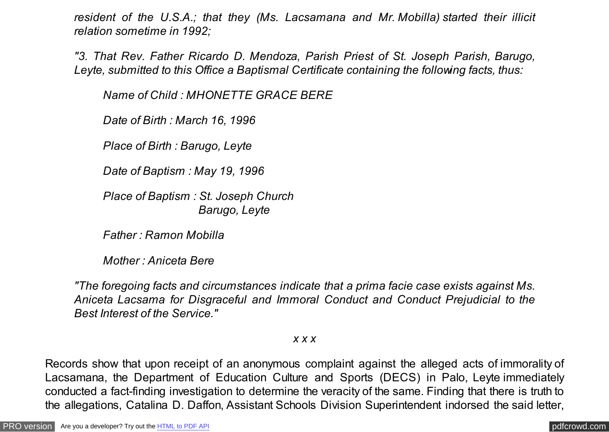*resident of the U.S.A.; that they (Ms. Lacsamana and Mr. Mobilla) started their illicit relation sometime in 1992;*

*"3. That Rev. Father Ricardo D. Mendoza, Parish Priest of St. Joseph Parish, Barugo, Leyte, submitted to this Office a Baptismal Certificate containing the following facts, thus:*

*Name of Child : MHONETTE GRACE BERE*

*Date of Birth : March 16, 1996*

*Place of Birth : Barugo, Leyte*

*Date of Baptism : May 19, 1996*

*Place of Baptism : St. Joseph Church Barugo, Leyte*

*Father : Ramon Mobilla*

*Mother : Aniceta Bere*

*"The foregoing facts and circumstances indicate that a prima facie case exists against Ms. Aniceta Lacsama for Disgraceful and Immoral Conduct and Conduct Prejudicial to the Best Interest of the Service."*

*x x x*

Records show that upon receipt of an anonymous complaint against the alleged acts of immorality of Lacsamana, the Department of Education Culture and Sports (DECS) in Palo, Leyte immediately conducted a fact-finding investigation to determine the veracity of the same. Finding that there is truth to the allegations, Catalina D. Daffon, Assistant Schools Division Superintendent indorsed the said letter,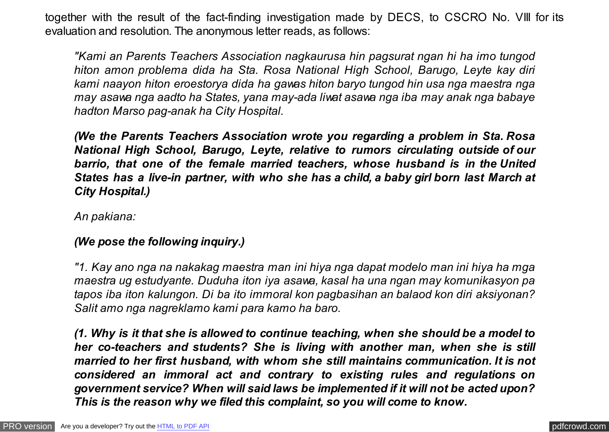together with the result of the fact-finding investigation made by DECS, to CSCRO No. VIII for its evaluation and resolution. The anonymous letter reads, as follows:

*"Kami an Parents Teachers Association nagkaurusa hin pagsurat ngan hi ha imo tungod hiton amon problema dida ha Sta. Rosa National High School, Barugo, Leyte kay diri kami naayon hiton eroestorya dida ha gawas hiton baryo tungod hin usa nga maestra nga may asawa nga aadto ha States, yana may-ada liwat asawa nga iba may anak nga babaye hadton Marso pag-anak ha City Hospital.*

*(We the Parents Teachers Association wrote you regarding a problem in Sta. Rosa National High School, Barugo, Leyte, relative to rumors circulating outside of our barrio, that one of the female married teachers, whose husband is in the United States has a live-in partner, with who she has a child, a baby girl born last March at City Hospital.)*

*An pakiana:*

## *(We pose the following inquiry.)*

*"1. Kay ano nga na nakakag maestra man ini hiya nga dapat modelo man ini hiya ha mga maestra ug estudyante. Duduha iton iya asawa, kasal ha una ngan may komunikasyon pa tapos iba iton kalungon. Di ba ito immoral kon pagbasihan an balaod kon diri aksiyonan? Salit amo nga nagreklamo kami para kamo ha baro.*

*(1. Why is it that she is allowed to continue teaching, when she should be a model to her co-teachers and students? She is living with another man, when she is still married to her first husband, with whom she still maintains communication. It is not considered an immoral act and contrary to existing rules and regulations on government service? When will said laws be implemented if it will not be acted upon? This is the reason why we filed this complaint, so you will come to know.*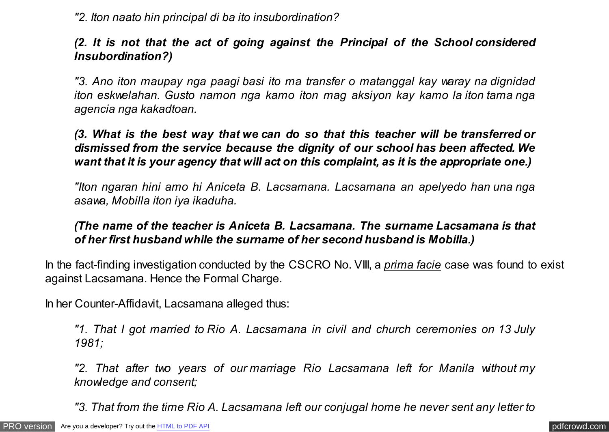*"2. Iton naato hin principal di ba ito insubordination?*

# *(2. It is not that the act of going against the Principal of the School considered Insubordination?)*

*"3. Ano iton maupay nga paagi basi ito ma transfer o matanggal kay waray na dignidad iton eskwelahan. Gusto namon nga kamo iton mag aksiyon kay kamo la iton tama nga agencia nga kakadtoan.*

*(3. What is the best way that we can do so that this teacher will be transferred or dismissed from the service because the dignity of our school has been affected. We want that it is your agency that will act on this complaint, as it is the appropriate one.)*

*"Iton ngaran hini amo hi Aniceta B. Lacsamana. Lacsamana an apelyedo han una nga asawa, Mobilla iton iya ikaduha.*

# *(The name of the teacher is Aniceta B. Lacsamana. The surname Lacsamana is that of her first husband while the surname of her second husband is Mobilla.)*

In the fact-finding investigation conducted by the CSCRO No. VIII, a *prima facie* case was found to exist against Lacsamana. Hence the Formal Charge.

In her Counter-Affidavit, Lacsamana alleged thus:

*"1. That I got married to Rio A. Lacsamana in civil and church ceremonies on 13 July 1981;*

*"2. That after two years of our marriage Rio Lacsamana left for Manila without my knowledge and consent;*

*"3. That from the time Rio A. Lacsamana left our conjugal home he never sent any letter to*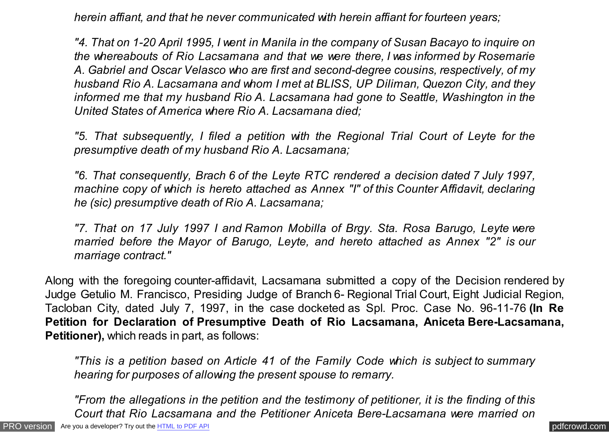*herein affiant, and that he never communicated with herein affiant for fourteen years;*

*"4. That on 1-20 April 1995, I went in Manila in the company of Susan Bacayo to inquire on the whereabouts of Rio Lacsamana and that we were there, I was informed by Rosemarie A. Gabriel and Oscar Velasco who are first and second-degree cousins, respectively, of my husband Rio A. Lacsamana and whom I met at BLISS, UP Diliman, Quezon City, and they informed me that my husband Rio A. Lacsamana had gone to Seattle, Washington in the United States of America where Rio A. Lacsamana died;*

*"5. That subsequently, I filed a petition with the Regional Trial Court of Leyte for the presumptive death of my husband Rio A. Lacsamana;*

*"6. That consequently, Brach 6 of the Leyte RTC rendered a decision dated 7 July 1997, machine copy of which is hereto attached as Annex "I" of this Counter Affidavit, declaring he (sic) presumptive death of Rio A. Lacsamana;*

*"7. That on 17 July 1997 I and Ramon Mobilla of Brgy. Sta. Rosa Barugo, Leyte were married before the Mayor of Barugo, Leyte, and hereto attached as Annex "2" is our marriage contract."*

Along with the foregoing counter-affidavit, Lacsamana submitted a copy of the Decision rendered by Judge Getulio M. Francisco, Presiding Judge of Branch 6- Regional Trial Court, Eight Judicial Region, Tacloban City, dated July 7, 1997, in the case docketed as Spl. Proc. Case No. 96-11-76 **(In Re Petition for Declaration of Presumptive Death of Rio Lacsamana, Aniceta Bere-Lacsamana, Petitioner),** which reads in part, as follows:

*"This is a petition based on Article 41 of the Family Code which is subject to summary hearing for purposes of allowing the present spouse to remarry.*

*"From the allegations in the petition and the testimony of petitioner, it is the finding of this Court that Rio Lacsamana and the Petitioner Aniceta Bere-Lacsamana were married on*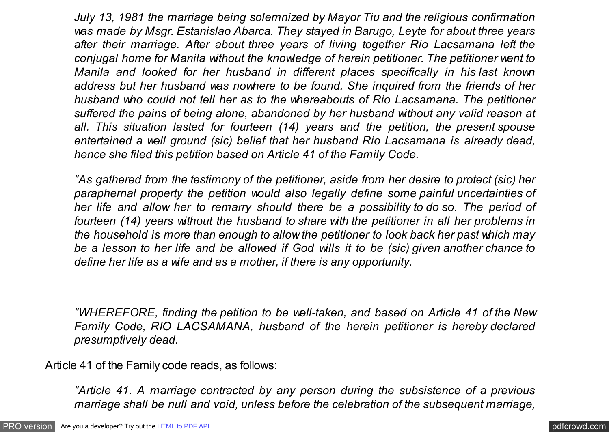*July 13, 1981 the marriage being solemnized by Mayor Tiu and the religious confirmation was made by Msgr. Estanislao Abarca. They stayed in Barugo, Leyte for about three years after their marriage. After about three years of living together Rio Lacsamana left the conjugal home for Manila without the knowledge of herein petitioner. The petitioner went to Manila and looked for her husband in different places specifically in his last known address but her husband was nowhere to be found. She inquired from the friends of her husband who could not tell her as to the whereabouts of Rio Lacsamana. The petitioner suffered the pains of being alone, abandoned by her husband without any valid reason at all. This situation lasted for fourteen (14) years and the petition, the present spouse entertained a well ground (sic) belief that her husband Rio Lacsamana is already dead, hence she filed this petition based on Article 41 of the Family Code.*

*"As gathered from the testimony of the petitioner, aside from her desire to protect (sic) her paraphernal property the petition would also legally define some painful uncertainties of her life and allow her to remarry should there be a possibility to do so. The period of fourteen (14) years without the husband to share with the petitioner in all her problems in the household is more than enough to allow the petitioner to look back her past which may be a lesson to her life and be allowed if God wills it to be (sic) given another chance to define her life as a wife and as a mother, if there is any opportunity.*

*"WHEREFORE, finding the petition to be well-taken, and based on Article 41 of the New Family Code, RIO LACSAMANA, husband of the herein petitioner is hereby declared presumptively dead.*

Article 41 of the Family code reads, as follows:

*"Article 41. A marriage contracted by any person during the subsistence of a previous marriage shall be null and void, unless before the celebration of the subsequent marriage,*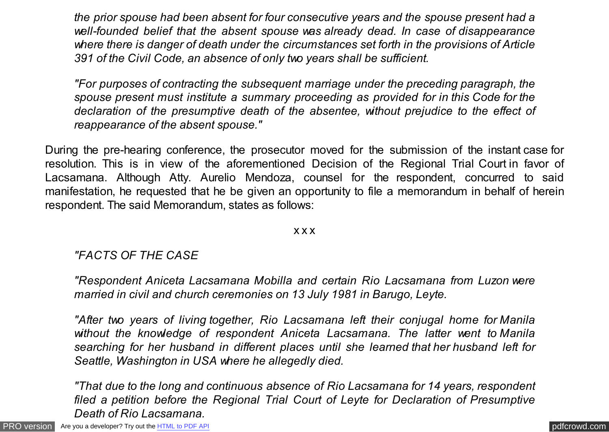*the prior spouse had been absent for four consecutive years and the spouse present had a well-founded belief that the absent spouse was already dead. In case of disappearance where there is danger of death under the circumstances set forth in the provisions of Article 391 of the Civil Code, an absence of only two years shall be sufficient.*

*"For purposes of contracting the subsequent marriage under the preceding paragraph, the spouse present must institute a summary proceeding as provided for in this Code for the declaration of the presumptive death of the absentee, without prejudice to the effect of reappearance of the absent spouse."*

During the pre-hearing conference, the prosecutor moved for the submission of the instant case for resolution. This is in view of the aforementioned Decision of the Regional Trial Court in favor of Lacsamana. Although Atty. Aurelio Mendoza, counsel for the respondent, concurred to said manifestation, he requested that he be given an opportunity to file a memorandum in behalf of herein respondent. The said Memorandum, states as follows:

#### x x x

## *"FACTS OF THE CASE*

*"Respondent Aniceta Lacsamana Mobilla and certain Rio Lacsamana from Luzon were married in civil and church ceremonies on 13 July 1981 in Barugo, Leyte.*

*"After two years of living together, Rio Lacsamana left their conjugal home for Manila without the knowledge of respondent Aniceta Lacsamana. The latter went to Manila searching for her husband in different places until she learned that her husband left for Seattle, Washington in USA where he allegedly died.*

*"That due to the long and continuous absence of Rio Lacsamana for 14 years, respondent filed a petition before the Regional Trial Court of Leyte for Declaration of Presumptive Death of Rio Lacsamana.*

[PRO version](http://pdfcrowd.com/customize/) Are you a developer? Try out th[e HTML to PDF API](http://pdfcrowd.com/html-to-pdf-api/?ref=pdf) [pdfcrowd.com](http://pdfcrowd.com)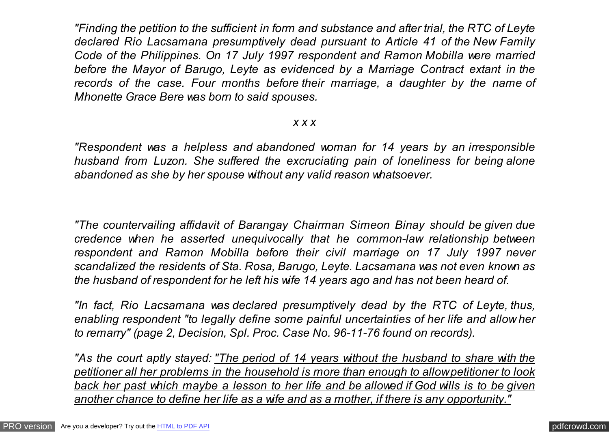*"Finding the petition to the sufficient in form and substance and after trial, the RTC of Leyte declared Rio Lacsamana presumptively dead pursuant to Article 41 of the New Family Code of the Philippines. On 17 July 1997 respondent and Ramon Mobilla were married before the Mayor of Barugo, Leyte as evidenced by a Marriage Contract extant in the records of the case. Four months before their marriage, a daughter by the name of Mhonette Grace Bere was born to said spouses.*

#### *x x x*

*"Respondent was a helpless and abandoned woman for 14 years by an irresponsible husband from Luzon. She suffered the excruciating pain of loneliness for being alone abandoned as she by her spouse without any valid reason whatsoever.*

*"The countervailing affidavit of Barangay Chairman Simeon Binay should be given due credence when he asserted unequivocally that he common-law relationship between respondent and Ramon Mobilla before their civil marriage on 17 July 1997 never scandalized the residents of Sta. Rosa, Barugo, Leyte. Lacsamana was not even known as the husband of respondent for he left his wife 14 years ago and has not been heard of.*

*"In fact, Rio Lacsamana was declared presumptively dead by the RTC of Leyte, thus, enabling respondent "to legally define some painful uncertainties of her life and allow her to remarry" (page 2, Decision, Spl. Proc. Case No. 96-11-76 found on records).*

*"As the court aptly stayed: "The period of 14 years without the husband to share with the petitioner all her problems in the household is more than enough to allow petitioner to look back her past which maybe a lesson to her life and be allowed if God wills is to be given another chance to define her life as a wife and as a mother, if there is any opportunity."*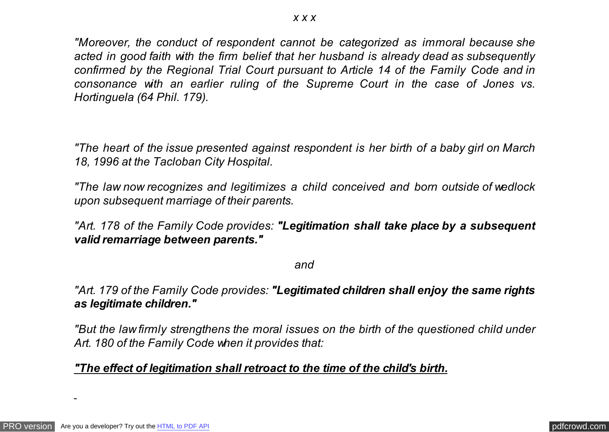*"Moreover, the conduct of respondent cannot be categorized as immoral because she acted in good faith with the firm belief that her husband is already dead as subsequently confirmed by the Regional Trial Court pursuant to Article 14 of the Family Code and in consonance with an earlier ruling of the Supreme Court in the case of Jones vs. Hortinguela (64 Phil. 179).*

*"The heart of the issue presented against respondent is her birth of a baby girl on March 18, 1996 at the Tacloban City Hospital.*

*"The law now recognizes and legitimizes a child conceived and born outside of wedlock upon subsequent marriage of their parents.*

*"Art. 178 of the Family Code provides: "Legitimation shall take place by a subsequent valid remarriage between parents."*

*and*

*"Art. 179 of the Family Code provides: "Legitimated children shall enjoy the same rights as legitimate children."*

*"But the law firmly strengthens the moral issues on the birth of the questioned child under Art. 180 of the Family Code when it provides that:*

## *"The effect of legitimation shall retroact to the time of the child's birth.*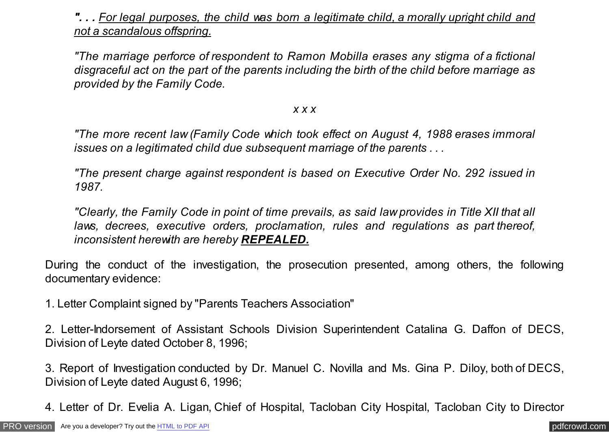*". . . For legal purposes, the child was born a legitimate child, a morally upright child and not a scandalous offspring.*

*"The marriage perforce of respondent to Ramon Mobilla erases any stigma of a fictional disgraceful act on the part of the parents including the birth of the child before marriage as provided by the Family Code.*

#### *x x x*

*"The more recent law (Family Code which took effect on August 4, 1988 erases immoral issues on a legitimated child due subsequent marriage of the parents . . .*

*"The present charge against respondent is based on Executive Order No. 292 issued in 1987.*

*"Clearly, the Family Code in point of time prevails, as said law provides in Title XII that all laws, decrees, executive orders, proclamation, rules and regulations as part thereof, inconsistent herewith are hereby REPEALED.*

During the conduct of the investigation, the prosecution presented, among others, the following documentary evidence:

1. Letter Complaint signed by "Parents Teachers Association"

2. Letter-Indorsement of Assistant Schools Division Superintendent Catalina G. Daffon of DECS, Division of Leyte dated October 8, 1996;

3. Report of Investigation conducted by Dr. Manuel C. Novilla and Ms. Gina P. Diloy, both of DECS, Division of Leyte dated August 6, 1996;

4. Letter of Dr. Evelia A. Ligan, Chief of Hospital, Tacloban City Hospital, Tacloban City to Director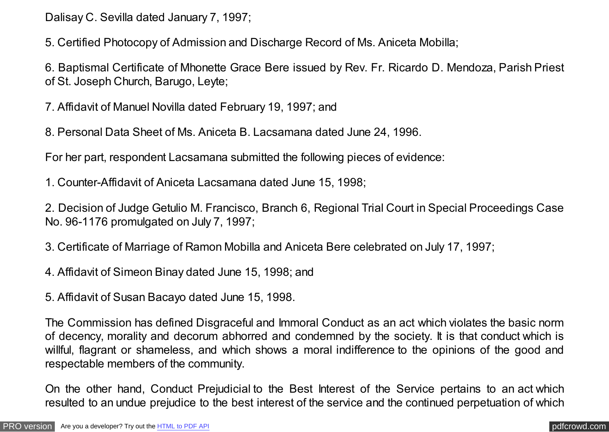Dalisay C. Sevilla dated January 7, 1997;

5. Certified Photocopy of Admission and Discharge Record of Ms. Aniceta Mobilla;

6. Baptismal Certificate of Mhonette Grace Bere issued by Rev. Fr. Ricardo D. Mendoza, Parish Priest of St. Joseph Church, Barugo, Leyte;

7. Affidavit of Manuel Novilla dated February 19, 1997; and

8. Personal Data Sheet of Ms. Aniceta B. Lacsamana dated June 24, 1996.

For her part, respondent Lacsamana submitted the following pieces of evidence:

1. Counter-Affidavit of Aniceta Lacsamana dated June 15, 1998;

2. Decision of Judge Getulio M. Francisco, Branch 6, Regional Trial Court in Special Proceedings Case No. 96-1176 promulgated on July 7, 1997;

- 3. Certificate of Marriage of Ramon Mobilla and Aniceta Bere celebrated on July 17, 1997;
- 4. Affidavit of Simeon Binay dated June 15, 1998; and

5. Affidavit of Susan Bacayo dated June 15, 1998.

The Commission has defined Disgraceful and Immoral Conduct as an act which violates the basic norm of decency, morality and decorum abhorred and condemned by the society. It is that conduct which is willful, flagrant or shameless, and which shows a moral indifference to the opinions of the good and respectable members of the community.

On the other hand, Conduct Prejudicial to the Best Interest of the Service pertains to an act which resulted to an undue prejudice to the best interest of the service and the continued perpetuation of which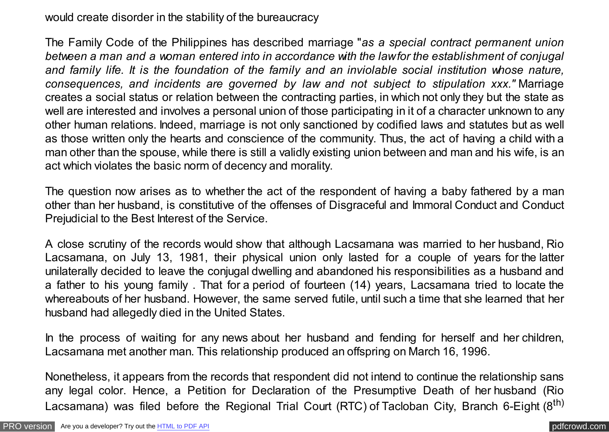would create disorder in the stability of the bureaucracy

The Family Code of the Philippines has described marriage "*as a special contract permanent union between a man and a woman entered into in accordance with the law for the establishment of conjugal and family life. It is the foundation of the family and an inviolable social institution whose nature, consequences, and incidents are governed by law and not subject to stipulation xxx."* Marriage creates a social status or relation between the contracting parties, in which not only they but the state as well are interested and involves a personal union of those participating in it of a character unknown to any other human relations. Indeed, marriage is not only sanctioned by codified laws and statutes but as well as those written only the hearts and conscience of the community. Thus, the act of having a child with a man other than the spouse, while there is still a validly existing union between and man and his wife, is an act which violates the basic norm of decency and morality.

The question now arises as to whether the act of the respondent of having a baby fathered by a man other than her husband, is constitutive of the offenses of Disgraceful and Immoral Conduct and Conduct Prejudicial to the Best Interest of the Service.

A close scrutiny of the records would show that although Lacsamana was married to her husband, Rio Lacsamana, on July 13, 1981, their physical union only lasted for a couple of years for the latter unilaterally decided to leave the conjugal dwelling and abandoned his responsibilities as a husband and a father to his young family . That for a period of fourteen (14) years, Lacsamana tried to locate the whereabouts of her husband. However, the same served futile, until such a time that she learned that her husband had allegedly died in the United States.

In the process of waiting for any news about her husband and fending for herself and her children, Lacsamana met another man. This relationship produced an offspring on March 16, 1996.

Nonetheless, it appears from the records that respondent did not intend to continue the relationship sans any legal color. Hence, a Petition for Declaration of the Presumptive Death of her husband (Rio Lacsamana) was filed before the Regional Trial Court (RTC) of Tacloban City, Branch 6-Eight (8<sup>th)</sup>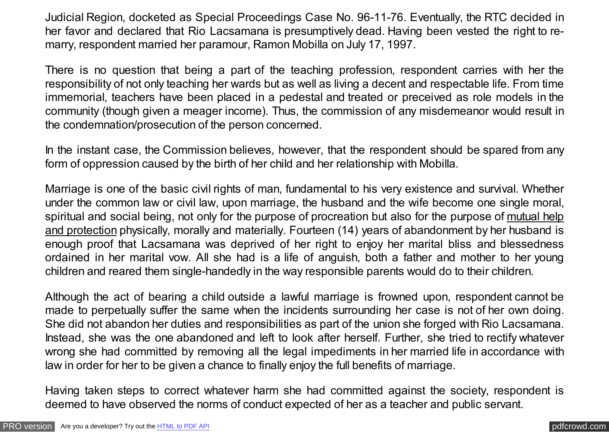Judicial Region, docketed as Special Proceedings Case No. 96-11-76. Eventually, the RTC decided in her favor and declared that Rio Lacsamana is presumptively dead. Having been vested the right to remarry, respondent married her paramour, Ramon Mobilla on July 17, 1997.

There is no question that being a part of the teaching profession, respondent carries with her the responsibility of not only teaching her wards but as well as living a decent and respectable life. From time immemorial, teachers have been placed in a pedestal and treated or preceived as role models in the community (though given a meager income). Thus, the commission of any misdemeanor would result in the condemnation/prosecution of the person concerned.

In the instant case, the Commission believes, however, that the respondent should be spared from any form of oppression caused by the birth of her child and her relationship with Mobilla.

Marriage is one of the basic civil rights of man, fundamental to his very existence and survival. Whether under the common law or civil law, upon marriage, the husband and the wife become one single moral, spiritual and social being, not only for the purpose of procreation but also for the purpose of mutual help and protection physically, morally and materially. Fourteen (14) years of abandonment by her husband is enough proof that Lacsamana was deprived of her right to enjoy her marital bliss and blessedness ordained in her marital vow. All she had is a life of anguish, both a father and mother to her young children and reared them single-handedly in the way responsible parents would do to their children.

Although the act of bearing a child outside a lawful marriage is frowned upon, respondent cannot be made to perpetually suffer the same when the incidents surrounding her case is not of her own doing. She did not abandon her duties and responsibilities as part of the union she forged with Rio Lacsamana. Instead, she was the one abandoned and left to look after herself. Further, she tried to rectify whatever wrong she had committed by removing all the legal impediments in her married life in accordance with law in order for her to be given a chance to finally enjoy the full benefits of marriage.

Having taken steps to correct whatever harm she had committed against the society, respondent is deemed to have observed the norms of conduct expected of her as a teacher and public servant.